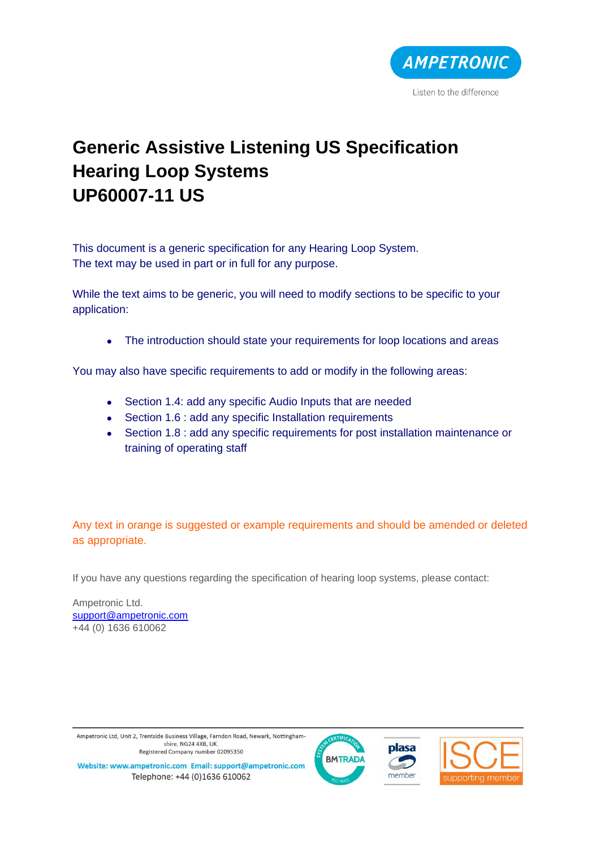

# **Generic Assistive Listening US Specification Hearing Loop Systems UP60007-11 US**

This document is a generic specification for any Hearing Loop System. The text may be used in part or in full for any purpose.

While the text aims to be generic, you will need to modify sections to be specific to your application:

• The introduction should state your requirements for loop locations and areas

You may also have specific requirements to add or modify in the following areas:

- Section 1.4: add any specific Audio Inputs that are needed
- Section 1.6 : add any specific Installation requirements
- Section 1.8 : add any specific requirements for post installation maintenance or training of operating staff

Any text in orange is suggested or example requirements and should be amended or deleted as appropriate.

If you have any questions regarding the specification of hearing loop systems, please contact:

Ampetronic Ltd. [support@ampetronic.com](mailto:support@ampetronic.com) +44 (0) 1636 610062

Ampetronic Ltd, Unit 2, Trentside Business Village, Farndon Road, Newark, Nottinghamshire, NG24 4XB, UK. Registered Company number 02095350







Website: www.ampetronic.com Email: support@ampetronic.com Telephone: +44 (0)1636 610062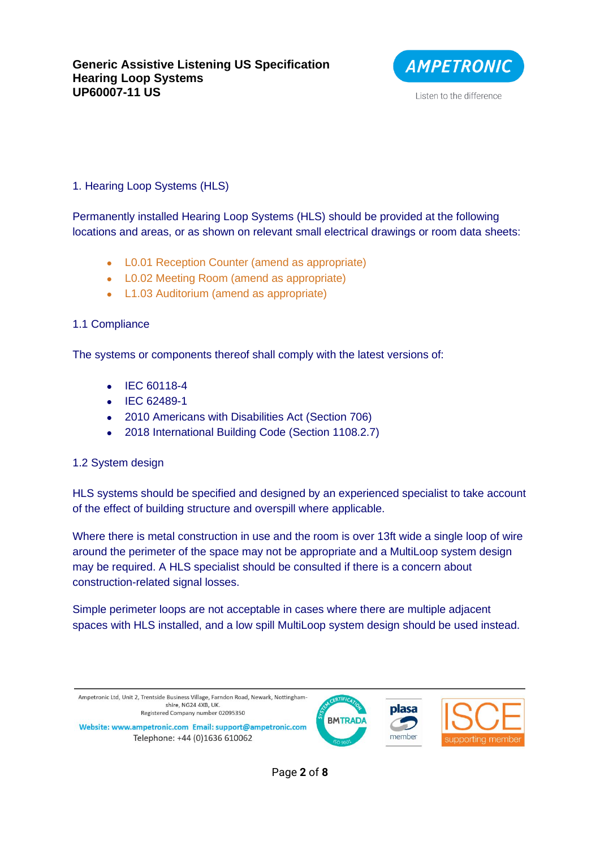

# 1. Hearing Loop Systems (HLS)

Permanently installed Hearing Loop Systems (HLS) should be provided at the following locations and areas, or as shown on relevant small electrical drawings or room data sheets:

- L0.01 Reception Counter (amend as appropriate)
- L0.02 Meeting Room (amend as appropriate)
- L1.03 Auditorium (amend as appropriate)

# 1.1 Compliance

The systems or components thereof shall comply with the latest versions of:

- IEC 60118-4
- IEC 62489-1
- 2010 Americans with Disabilities Act (Section 706)
- 2018 International Building Code (Section 1108.2.7)

# 1.2 System design

HLS systems should be specified and designed by an experienced specialist to take account of the effect of building structure and overspill where applicable.

Where there is metal construction in use and the room is over 13ft wide a single loop of wire around the perimeter of the space may not be appropriate and a MultiLoop system design may be required. A HLS specialist should be consulted if there is a concern about construction-related signal losses.

Simple perimeter loops are not acceptable in cases where there are multiple adjacent spaces with HLS installed, and a low spill MultiLoop system design should be used instead.

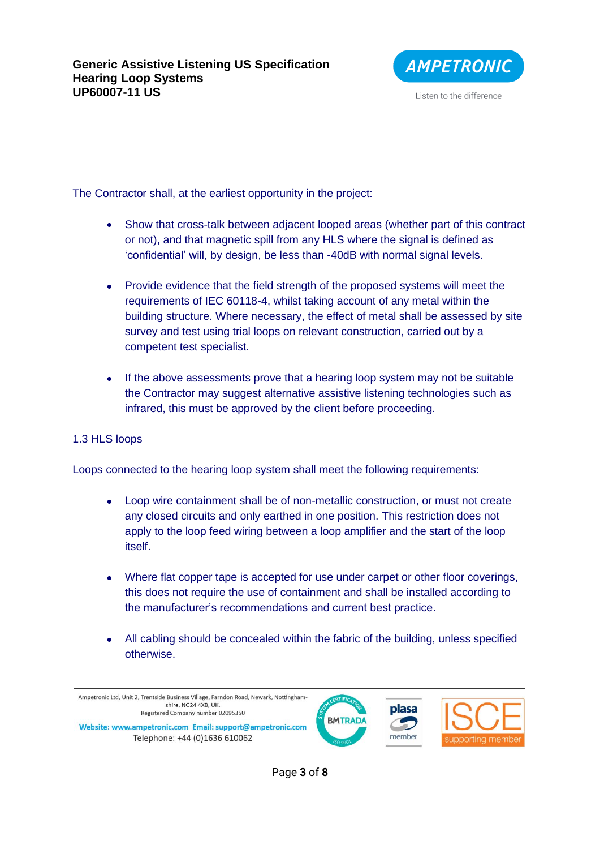

The Contractor shall, at the earliest opportunity in the project:

- Show that cross-talk between adjacent looped areas (whether part of this contract or not), and that magnetic spill from any HLS where the signal is defined as 'confidential' will, by design, be less than -40dB with normal signal levels.
- Provide evidence that the field strength of the proposed systems will meet the requirements of IEC 60118-4, whilst taking account of any metal within the building structure. Where necessary, the effect of metal shall be assessed by site survey and test using trial loops on relevant construction, carried out by a competent test specialist.
- If the above assessments prove that a hearing loop system may not be suitable the Contractor may suggest alternative assistive listening technologies such as infrared, this must be approved by the client before proceeding.

# 1.3 HLS loops

Loops connected to the hearing loop system shall meet the following requirements:

- Loop wire containment shall be of non-metallic construction, or must not create any closed circuits and only earthed in one position. This restriction does not apply to the loop feed wiring between a loop amplifier and the start of the loop itself.
- Where flat copper tape is accepted for use under carpet or other floor coverings, this does not require the use of containment and shall be installed according to the manufacturer's recommendations and current best practice.
- All cabling should be concealed within the fabric of the building, unless specified otherwise.

Ampetronic Ltd, Unit 2, Trentside Business Village, Farndon Road, Newark, Nottinghamshire, NG24 4XB, UK Registered Company number 02095350

Website: www.ampetronic.com Email: support@ampetronic.com Telephone: +44 (0)1636 610062





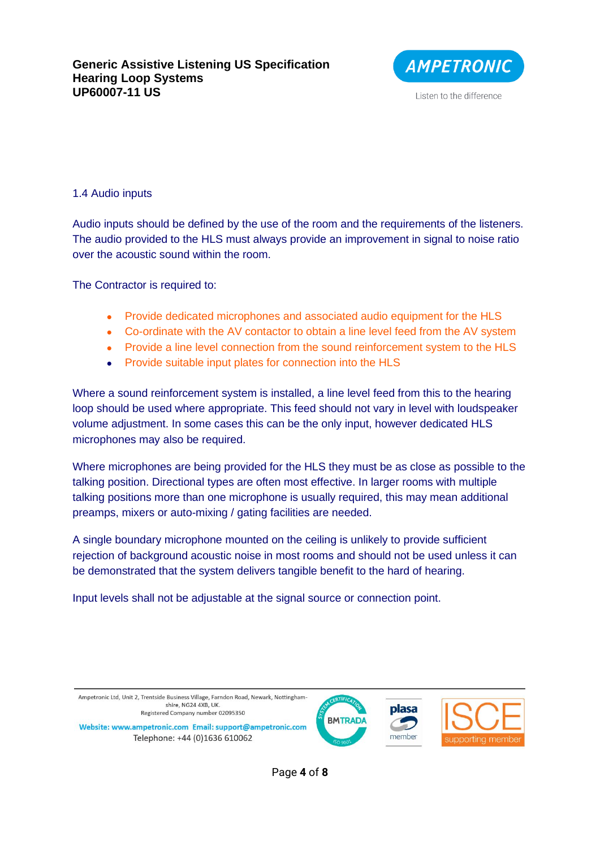

#### 1.4 Audio inputs

Audio inputs should be defined by the use of the room and the requirements of the listeners. The audio provided to the HLS must always provide an improvement in signal to noise ratio over the acoustic sound within the room.

The Contractor is required to:

- Provide dedicated microphones and associated audio equipment for the HLS
- Co-ordinate with the AV contactor to obtain a line level feed from the AV system
- Provide a line level connection from the sound reinforcement system to the HLS
- Provide suitable input plates for connection into the HLS

Where a sound reinforcement system is installed, a line level feed from this to the hearing loop should be used where appropriate. This feed should not vary in level with loudspeaker volume adjustment. In some cases this can be the only input, however dedicated HLS microphones may also be required.

Where microphones are being provided for the HLS they must be as close as possible to the talking position. Directional types are often most effective. In larger rooms with multiple talking positions more than one microphone is usually required, this may mean additional preamps, mixers or auto-mixing / gating facilities are needed.

A single boundary microphone mounted on the ceiling is unlikely to provide sufficient rejection of background acoustic noise in most rooms and should not be used unless it can be demonstrated that the system delivers tangible benefit to the hard of hearing.

Input levels shall not be adjustable at the signal source or connection point.

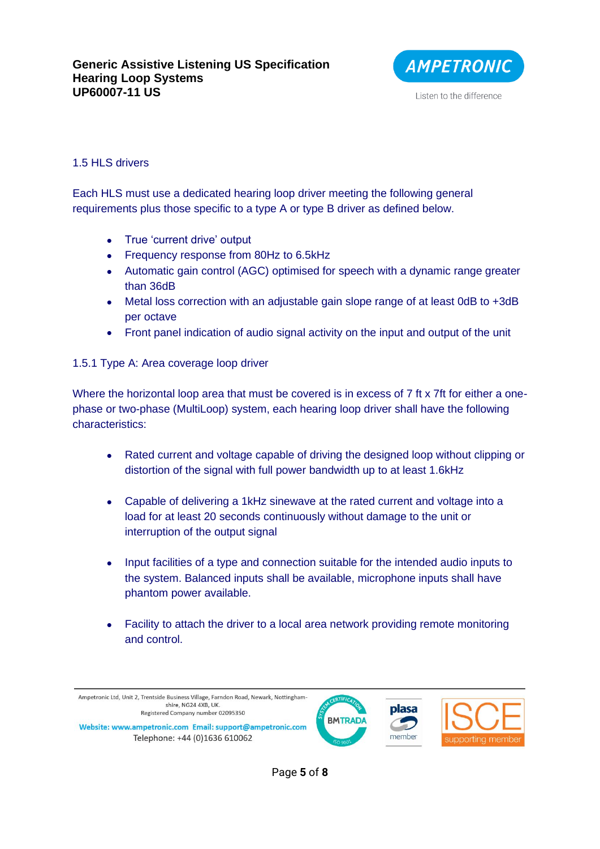

#### 1.5 HLS drivers

Each HLS must use a dedicated hearing loop driver meeting the following general requirements plus those specific to a type A or type B driver as defined below.

- True 'current drive' output
- Frequency response from 80Hz to 6.5kHz
- Automatic gain control (AGC) optimised for speech with a dynamic range greater than 36dB
- Metal loss correction with an adjustable gain slope range of at least 0dB to +3dB per octave
- Front panel indication of audio signal activity on the input and output of the unit

1.5.1 Type A: Area coverage loop driver

Where the horizontal loop area that must be covered is in excess of 7 ft x 7ft for either a onephase or two-phase (MultiLoop) system, each hearing loop driver shall have the following characteristics:

- Rated current and voltage capable of driving the designed loop without clipping or distortion of the signal with full power bandwidth up to at least 1.6kHz
- Capable of delivering a 1kHz sinewave at the rated current and voltage into a load for at least 20 seconds continuously without damage to the unit or interruption of the output signal
- Input facilities of a type and connection suitable for the intended audio inputs to the system. Balanced inputs shall be available, microphone inputs shall have phantom power available.
- Facility to attach the driver to a local area network providing remote monitoring and control.

Ampetronic Ltd, Unit 2, Trentside Business Village, Farndon Road, Newark, Nottinghamshire, NG24 4XB, UK. Registered Company number 02095350

Website: www.ampetronic.com Email: support@ampetronic.com Telephone: +44 (0)1636 610062





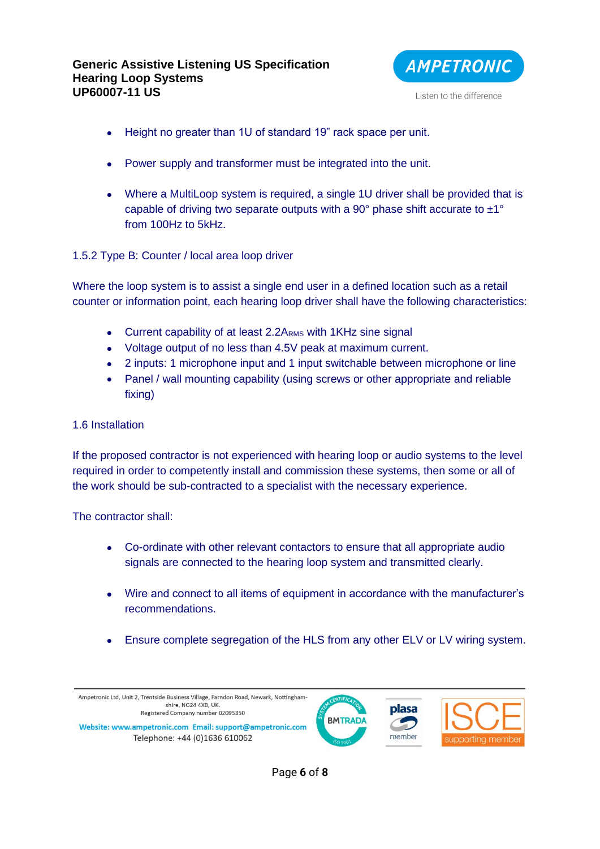

- Height no greater than 1U of standard 19" rack space per unit.
- Power supply and transformer must be integrated into the unit.
- Where a MultiLoop system is required, a single 1U driver shall be provided that is capable of driving two separate outputs with a 90 $^{\circ}$  phase shift accurate to  $\pm 1^{\circ}$ from 100Hz to 5kHz.

## 1.5.2 Type B: Counter / local area loop driver

Where the loop system is to assist a single end user in a defined location such as a retail counter or information point, each hearing loop driver shall have the following characteristics:

- Current capability of at least 2.2ARMs with 1KHz sine signal
- Voltage output of no less than 4.5V peak at maximum current.
- 2 inputs: 1 microphone input and 1 input switchable between microphone or line
- Panel / wall mounting capability (using screws or other appropriate and reliable fixing)

#### 1.6 Installation

If the proposed contractor is not experienced with hearing loop or audio systems to the level required in order to competently install and commission these systems, then some or all of the work should be sub-contracted to a specialist with the necessary experience.

The contractor shall:

- Co-ordinate with other relevant contactors to ensure that all appropriate audio signals are connected to the hearing loop system and transmitted clearly.
- Wire and connect to all items of equipment in accordance with the manufacturer's recommendations.
- Ensure complete segregation of the HLS from any other ELV or LV wiring system.

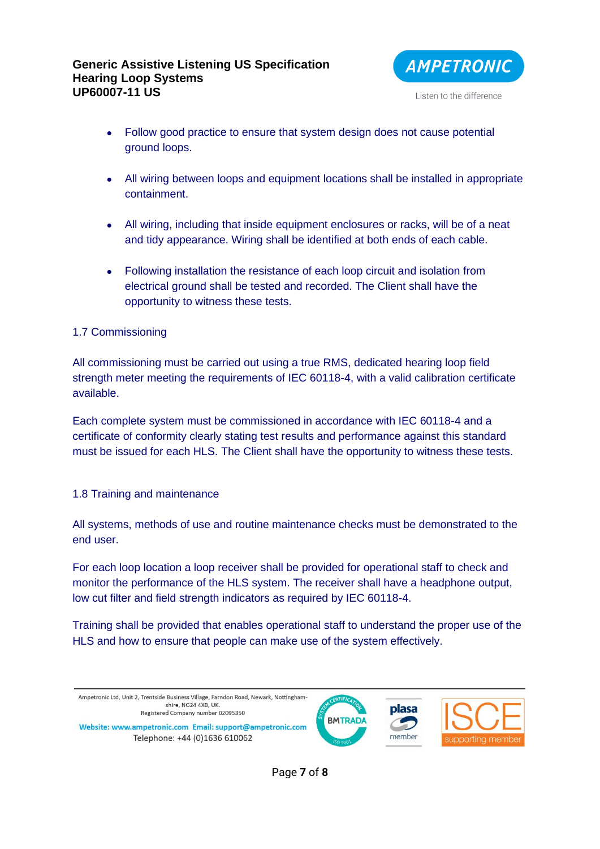

- Follow good practice to ensure that system design does not cause potential ground loops.
- All wiring between loops and equipment locations shall be installed in appropriate containment.
- All wiring, including that inside equipment enclosures or racks, will be of a neat and tidy appearance. Wiring shall be identified at both ends of each cable.
- Following installation the resistance of each loop circuit and isolation from electrical ground shall be tested and recorded. The Client shall have the opportunity to witness these tests.

# 1.7 Commissioning

All commissioning must be carried out using a true RMS, dedicated hearing loop field strength meter meeting the requirements of IEC 60118-4, with a valid calibration certificate available.

Each complete system must be commissioned in accordance with IEC 60118-4 and a certificate of conformity clearly stating test results and performance against this standard must be issued for each HLS. The Client shall have the opportunity to witness these tests.

#### 1.8 Training and maintenance

All systems, methods of use and routine maintenance checks must be demonstrated to the end user.

For each loop location a loop receiver shall be provided for operational staff to check and monitor the performance of the HLS system. The receiver shall have a headphone output, low cut filter and field strength indicators as required by IEC 60118-4.

Training shall be provided that enables operational staff to understand the proper use of the HLS and how to ensure that people can make use of the system effectively.